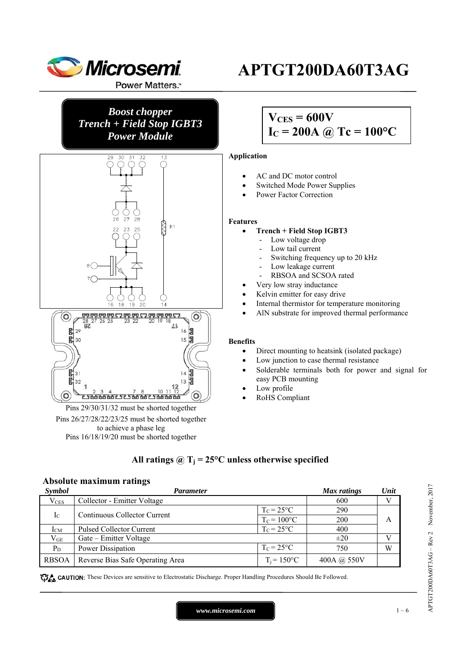

## *Boost chopper Trench + Field Stop IGBT3 Power Module*



Pins 29/30/31/32 must be shorted together Pins 26/27/28/22/23/25 must be shorted together to achieve a phase leg Pins 16/18/19/20 must be shorted together

## **APTGT200DA60T3AG**

## $V_{CES} = 600V$  $I_C = 200A \omega Tc = 100^{\circ}C$

#### **Application**

- AC and DC motor control
- Switched Mode Power Supplies
- Power Factor Correction

#### **Features**

#### **Trench + Field Stop IGBT3**

- Low voltage drop
- Low tail current
- Switching frequency up to 20 kHz
- Low leakage current
- RBSOA and SCSOA rated
- Very low stray inductance
- Kelvin emitter for easy drive
- Internal thermistor for temperature monitoring
- AlN substrate for improved thermal performance

#### **Benefits**

- Direct mounting to heatsink (isolated package)
- Low junction to case thermal resistance
- Solderable terminals both for power and signal for easy PCB mounting
- Low profile
- RoHS Compliant

### All ratings  $\omega_{\text{I}} = 25^{\circ}\text{C}$  unless otherwise specified

#### **Absolute maximum ratings**

| Symbol                                      | Parameter                        | Max ratings          | Unit        |   |
|---------------------------------------------|----------------------------------|----------------------|-------------|---|
| $V_{CES}$                                   | Collector - Emitter Voltage      |                      | 600         | V |
| $I_{\rm C}$<br>Continuous Collector Current |                                  | $T_c = 25$ °C        | 290         |   |
|                                             |                                  | $T_c = 100$ °C       | 200         | А |
| $I_{CM}$                                    | <b>Pulsed Collector Current</b>  | $T_c = 25$ °C        | 400         |   |
| $\rm V_{GE}$                                | Gate – Emitter Voltage           |                      | $\pm 20$    | V |
| $P_D$                                       | Power Dissipation                | $T_c = 25$ °C        | 750         | W |
| <b>RBSOA</b>                                | Reverse Bias Safe Operating Area | $T_i = 150^{\circ}C$ | 400A @ 550V |   |

CAUTION: These Devices are sensitive to Electrostatic Discharge. Proper Handling Procedures Should Be Followed.

APTGT200DA60T3AG – Rev 2 November, 2017  $\rm APTGT200DAG0T3AG-Rev2$  November, 2017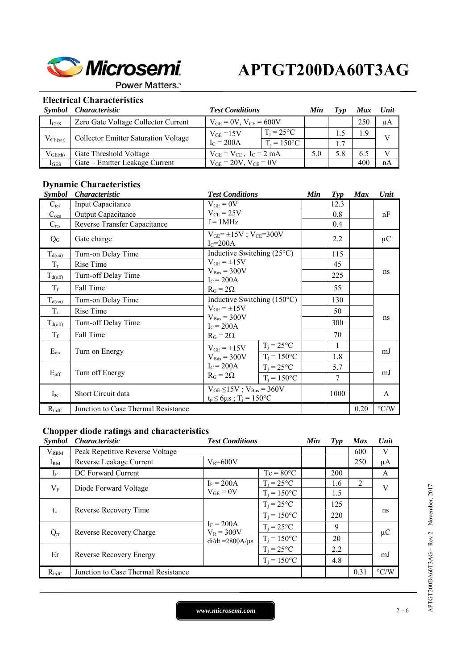

**Power Matters.**"

### **Electrical Characteristics**

|               | Symbol Characteristic                       | <b>Test Conditions</b>           |                      | Min | Tvp | Max | <b>Unit</b> |
|---------------|---------------------------------------------|----------------------------------|----------------------|-----|-----|-----|-------------|
| $I_{CES}$     | Zero Gate Voltage Collector Current         | $V_{GE} = 0V$ , $V_{CE} = 600V$  |                      |     |     | 250 | иA          |
| $V_{CE(sat)}$ | <b>Collector Emitter Saturation Voltage</b> | $T_i = 25$ °C<br>$V_{GE} = 15V$  |                      |     |     | 1.9 |             |
|               |                                             | $IC = 200A$                      | $T_i = 150^{\circ}C$ |     |     |     |             |
| $V_{GE(th)}$  | Gate Threshold Voltage                      | $V_{GE} = V_{CE}$ , $I_C = 2 mA$ |                      | 5.0 | 5.8 | 6.5 |             |
| $I_{GES}$     | Gate – Emitter Leakage Current              | $V_{GE} = 20V$ , $V_{CE} = 0V$   |                      |     |     | 400 | nА          |

## **Dynamic Characteristics**

| <i><b>Symbol</b></i>    | <i>Characteristic</i>               | <b>Test Conditions</b>                                                                               |                                      | Min | $\boldsymbol{Typ}$ | <b>Max</b> | Unit               |
|-------------------------|-------------------------------------|------------------------------------------------------------------------------------------------------|--------------------------------------|-----|--------------------|------------|--------------------|
| $C_{\text{ies}}$        | Input Capacitance                   | $V_{GE} = 0V$                                                                                        |                                      |     | 12.3               |            |                    |
| $C_{\underline{oes}}$   | Output Capacitance                  | $V_{CE}$ = 25V                                                                                       | $f = 1MHz$                           |     | 0.8                |            | nF                 |
| $C_{res}$               | Reverse Transfer Capacitance        |                                                                                                      |                                      |     | 0.4                |            |                    |
| $Q_{G}$                 | Gate charge                         | $IC=200A$                                                                                            | $V_{GE} = \pm 15V$ ; $V_{CE} = 300V$ |     | 2.2                |            | $\mu$ C            |
| $T_{d(on)}$             | Turn-on Delay Time                  |                                                                                                      | Inductive Switching $(25^{\circ}C)$  |     | 115                |            |                    |
| $T_{r}$                 | Rise Time                           | $V_{GE} = \pm 15V$                                                                                   |                                      |     | 45                 |            | ns                 |
| $T_{d(off)}$            | Turn-off Delay Time                 | $V_{\text{Bus}} = 300V$<br>$IC = 200A$                                                               |                                      |     | 225                |            |                    |
| $T_f$                   | Fall Time                           | $R_G = 2\Omega$                                                                                      |                                      |     | 55                 |            |                    |
| $T_{d(\underline{on})}$ | Turn-on Delay Time                  | Inductive Switching $(150^{\circ}C)$<br>$V_{GE} = \pm 15V$<br>$V_{\text{Bus}} = 300V$<br>$IC = 200A$ |                                      |     | 130                |            | ns                 |
| $T_r$                   | Rise Time                           |                                                                                                      |                                      |     | 50                 |            |                    |
| $T_{d(\text{off})}$     | Turn-off Delay Time                 |                                                                                                      |                                      |     | 300                |            |                    |
| $T_f$                   | Fall Time                           | $R_G = 2\Omega$                                                                                      |                                      |     | 70                 |            |                    |
| $E_{\rm on}$            | Turn on Energy                      | $V_{GE} = \pm 15V$                                                                                   | $T_i = 25$ °C                        |     | 1                  |            | mJ                 |
|                         |                                     | $T_i = 150$ °C<br>$V_{Bus} = 300V$                                                                   |                                      |     | 1.8                |            |                    |
|                         |                                     | $I_c = 200A$                                                                                         | $T_i = 25$ °C                        |     | 5.7                |            |                    |
| $E_{\rm off}$           | Turn off Energy                     | $R_G = 2\Omega$                                                                                      | $T_i = 150$ °C                       |     | 7                  |            | mJ                 |
| $I_{sc}$                | Short Circuit data                  | $V_{GE} \le 15V$ ; $V_{Bus} = 360V$<br>$t_p \le 6 \mu s$ ; $T_i = 150^{\circ}C$                      |                                      |     | 1000               |            | A                  |
| $R_{thJC}$              | Junction to Case Thermal Resistance |                                                                                                      |                                      |     |                    | 0.20       | $\rm ^{\circ} C/W$ |

### **Chopper diode ratings and characteristics**

| <i><b>Symbol</b></i> | <i>Characteristic</i>               | <b>Test Conditions</b>                                |                    | Min | $\boldsymbol{Typ}$ | <b>Max</b>     | Unit               |
|----------------------|-------------------------------------|-------------------------------------------------------|--------------------|-----|--------------------|----------------|--------------------|
| $V_{RRM}$            | Peak Repetitive Reverse Voltage     |                                                       |                    |     | 600                | V              |                    |
| $I_{RM}$             | Reverse Leakage Current             | $V_R = 600V$                                          |                    |     |                    | 250            | μA                 |
| $I_F$                | DC Forward Current                  |                                                       | $Tc = 80^{\circ}C$ |     | 200                |                | A                  |
| $V_{\rm F}$          | Diode Forward Voltage               | $I_F = 200A$                                          | $T_i = 25$ °C      |     | 1.6                | $\overline{2}$ | V                  |
|                      |                                     | $V_{GE} = 0V$                                         | $T_i = 150$ °C     |     | 1.5                |                |                    |
|                      |                                     |                                                       | $T_i = 25$ °C      |     | 125                |                |                    |
| $t_{rr}$             | Reverse Recovery Time               |                                                       | $T_i = 150$ °C     |     | 220                |                | ns                 |
|                      |                                     | $I_F = 200A$<br>$V_R = 300V$<br>$di/dt = 2800A/\mu s$ | $T_i = 25$ °C      |     | 9                  |                |                    |
| $Q_{rr}$             | Reverse Recovery Charge             |                                                       | $T_i = 150$ °C     |     | 20                 |                | $\mu$ C            |
| Er                   | Reverse Recovery Energy             |                                                       | $T_i = 25$ °C      |     | 2.2                |                |                    |
|                      |                                     |                                                       | $T_i = 150$ °C     |     | 4.8                |                | mJ                 |
| $R_{thJC}$           | Junction to Case Thermal Resistance |                                                       |                    |     |                    | 0.31           | $\rm ^{\circ} C/W$ |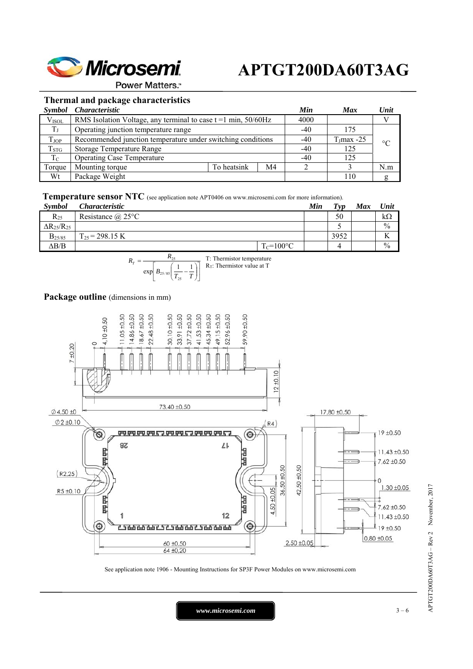

**Power Matters.**"

### **Thermal and package characteristics**

|                   | Symbol Characteristic                                       |                                                                  |                | Min   | <b>Max</b>  | Unit            |  |
|-------------------|-------------------------------------------------------------|------------------------------------------------------------------|----------------|-------|-------------|-----------------|--|
| V <sub>ISOL</sub> |                                                             | RMS Isolation Voltage, any terminal to case $t = 1$ min, 50/60Hz |                |       |             |                 |  |
| $T_J$             | Operating junction temperature range                        |                                                                  |                |       | 175         |                 |  |
| $T_{\rm JOP}$     | Recommended junction temperature under switching conditions |                                                                  |                | $-40$ | $TJmax -25$ | $\rm ^{\circ}C$ |  |
| $T_{STG}$         | Storage Temperature Range                                   |                                                                  |                | -40   | 125         |                 |  |
| $T_{\rm C}$       | <b>Operating Case Temperature</b>                           |                                                                  |                | $-40$ | 125         |                 |  |
| Torque            | Mounting torque                                             | To heatsink                                                      | M <sub>4</sub> |       |             | N.m             |  |
| Wt                | Package Weight                                              |                                                                  |                |       | 110         |                 |  |

**Temperature sensor NTC** (see application note APT0406 on www.microsemi.com for more information).

| <b>Symbol</b>          | <i>Characteristic</i>    |                | Min | Tvp  | <b>Max</b> | Unit          |
|------------------------|--------------------------|----------------|-----|------|------------|---------------|
| $R_{25}$               | Resistance $\omega$ 25°C |                |     | 50   |            | $k\Omega$     |
| $\Delta R_{25}/R_{25}$ |                          |                |     |      |            | $\frac{0}{0}$ |
| $B_{25/85}$            | $T_{25}$ = 298.15 K      |                |     | 3952 |            | v             |
| $\Delta B/B$           |                          | $T_c = 100$ °C |     |      |            | $\frac{0}{0}$ |

$$
R_T = \frac{R_{25}}{\exp\left[B_{25/85}\left(\frac{1}{T_{25}} - \frac{1}{T}\right)\right]}
$$
 T: Thermistor temperature

### Package outline (dimensions in mm)



See application note 1906 - Mounting Instructions for SP3F Power Modules on www.microsemi.com

*www.microsemi.com* 3 – 6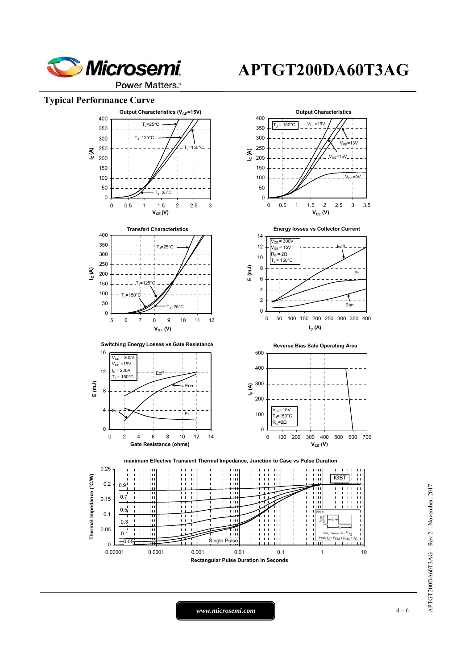

### **Typical Performance Curve**



*www.microsemi.com* 1 – 6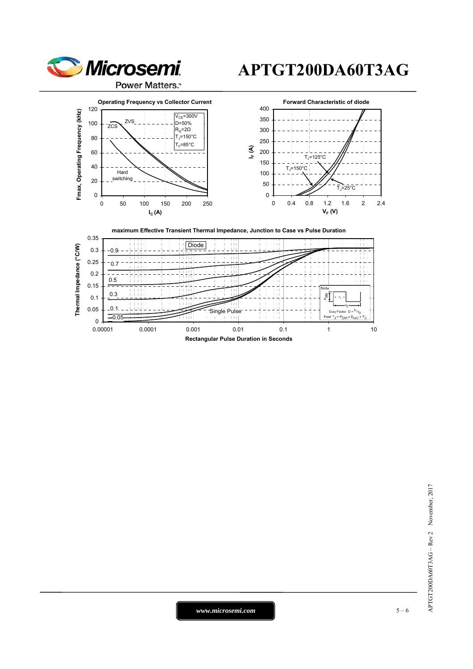